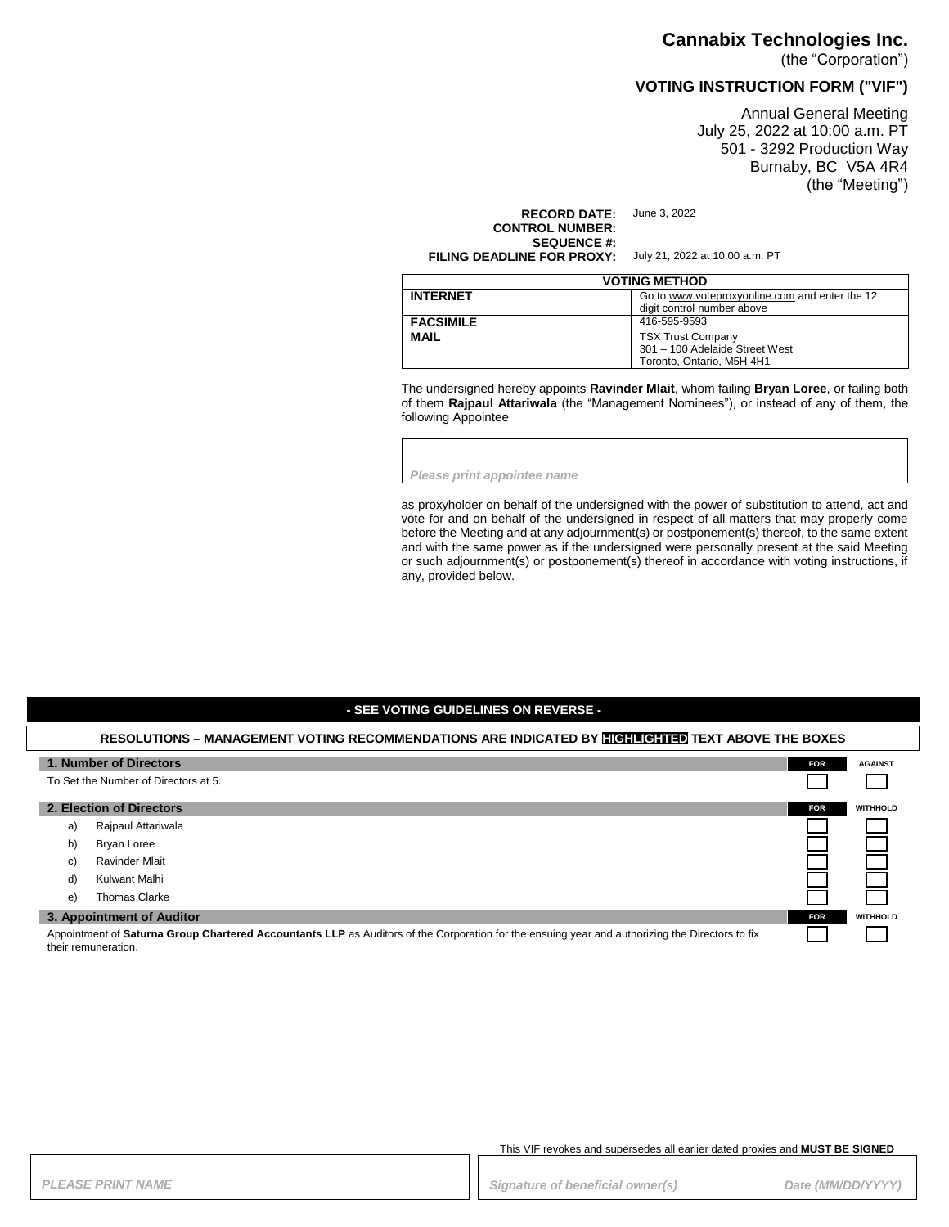### **Cannabix Technologies Inc.**

(the "Corporation")

## **VOTING INSTRUCTION FORM ("VIF")**

Annual General Meeting July 25, 2022 at 10:00 a.m. PT 501 - 3292 Production Way Burnaby, BC V5A 4R4 (the "Meeting")

**RECORD DATE:** June 3, 2022 **CONTROL NUMBER: SEQUENCE #: FILING DEADLINE FOR PROXY:** July 21, 2022 at 10:00 a.m. PT

| <b>VOTING METHOD</b> |                                                                                         |  |
|----------------------|-----------------------------------------------------------------------------------------|--|
| <b>INTERNET</b>      | Go to www.voteproxyonline.com and enter the 12<br>digit control number above            |  |
| <b>FACSIMILE</b>     | 416-595-9593                                                                            |  |
| <b>MAIL</b>          | <b>TSX Trust Company</b><br>301 - 100 Adelaide Street West<br>Toronto, Ontario, M5H 4H1 |  |

The undersigned hereby appoints **Ravinder Mlait**, whom failing **Bryan Loree**, or failing both of them **Rajpaul Attariwala** (the "Management Nominees"), or instead of any of them, the following Appointee

*Please print appointee name*

as proxyholder on behalf of the undersigned with the power of substitution to attend, act and vote for and on behalf of the undersigned in respect of all matters that may properly come before the Meeting and at any adjournment(s) or postponement(s) thereof, to the same extent and with the same power as if the undersigned were personally present at the said Meeting or such adjournment(s) or postponement(s) thereof in accordance with voting instructions, if any, provided below.

### **- SEE VOTING GUIDELINES ON REVERSE -**

### **RESOLUTIONS – MANAGEMENT VOTING RECOMMENDATIONS ARE INDICATED BY HIGHLIGHTED TEXT ABOVE THE BOXES**

|                                                                                                                                                                        | 1. Number of Directors<br>To Set the Number of Directors at 5. | <b>FOR</b> | <b>AGAINST</b>  |
|------------------------------------------------------------------------------------------------------------------------------------------------------------------------|----------------------------------------------------------------|------------|-----------------|
|                                                                                                                                                                        | 2. Election of Directors                                       | <b>FOR</b> | <b>WITHHOLD</b> |
| a)                                                                                                                                                                     | Rajpaul Attariwala                                             |            |                 |
| b)                                                                                                                                                                     | Bryan Loree                                                    |            |                 |
| C)                                                                                                                                                                     | <b>Ravinder Mlait</b>                                          |            |                 |
| d)                                                                                                                                                                     | Kulwant Malhi                                                  |            |                 |
| e)                                                                                                                                                                     | <b>Thomas Clarke</b>                                           |            |                 |
| 3. Appointment of Auditor                                                                                                                                              |                                                                | <b>FOR</b> | <b>WITHHOLD</b> |
| Appointment of Saturna Group Chartered Accountants LLP as Auditors of the Corporation for the ensuing year and authorizing the Directors to fix<br>their remuneration. |                                                                |            |                 |

This VIF revokes and supersedes all earlier dated proxies and **MUST BE SIGNED**